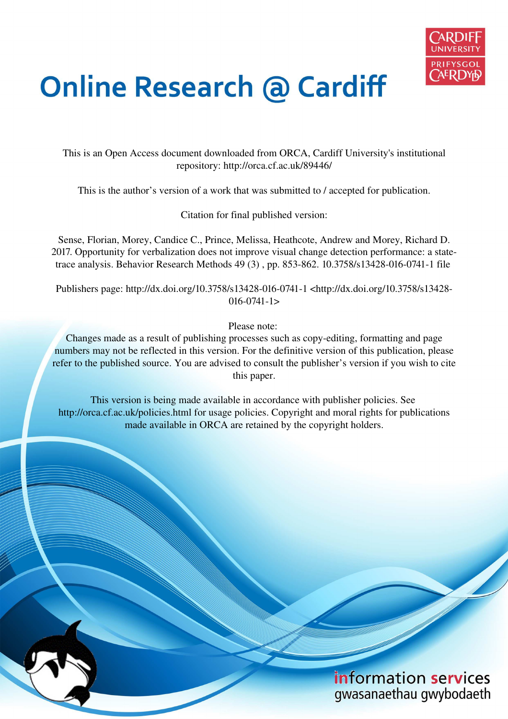

# **Online Research @ Cardiff**

This is an Open Access document downloaded from ORCA, Cardiff University's institutional repository: http://orca.cf.ac.uk/89446/

This is the author's version of a work that was submitted to / accepted for publication.

Citation for final published version:

Sense, Florian, Morey, Candice C., Prince, Melissa, Heathcote, Andrew and Morey, Richard D. 2017. Opportunity for verbalization does not improve visual change detection performance: a statetrace analysis. Behavior Research Methods 49 (3) , pp. 853-862. 10.3758/s13428-016-0741-1 file

Publishers page: http://dx.doi.org/10.3758/s13428-016-0741-1 <http://dx.doi.org/10.3758/s13428-  $016 - 0741 - 1$ 

Please note:

Changes made as a result of publishing processes such as copy-editing, formatting and page numbers may not be reflected in this version. For the definitive version of this publication, please refer to the published source. You are advised to consult the publisher's version if you wish to cite this paper.

This version is being made available in accordance with publisher policies. See http://orca.cf.ac.uk/policies.html for usage policies. Copyright and moral rights for publications made available in ORCA are retained by the copyright holders.

> information services gwasanaethau gwybodaeth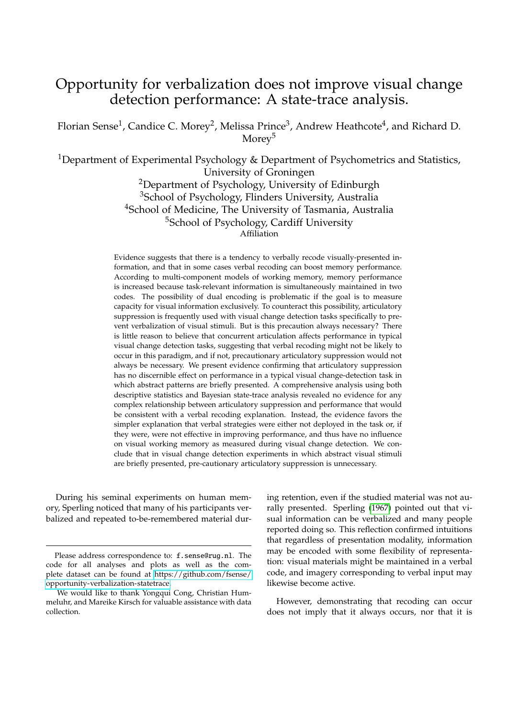## Opportunity for verbalization does not improve visual change detection performance: A state-trace analysis.

Florian Sense<sup>1</sup>, Candice C. Morey<sup>2</sup>, Melissa Prince<sup>3</sup>, Andrew Heathcote<sup>4</sup>, and Richard D. Morey<sup>5</sup>

<sup>1</sup>Department of Experimental Psychology & Department of Psychometrics and Statistics, University of Groningen

> <sup>2</sup>Department of Psychology, University of Edinburgh <sup>3</sup>School of Psychology, Flinders University, Australia <sup>4</sup>School of Medicine, The University of Tasmania, Australia <sup>5</sup>School of Psychology, Cardiff University Affiliation

Evidence suggests that there is a tendency to verbally recode visually-presented information, and that in some cases verbal recoding can boost memory performance. According to multi-component models of working memory, memory performance is increased because task-relevant information is simultaneously maintained in two codes. The possibility of dual encoding is problematic if the goal is to measure capacity for visual information exclusively. To counteract this possibility, articulatory suppression is frequently used with visual change detection tasks specifically to prevent verbalization of visual stimuli. But is this precaution always necessary? There is little reason to believe that concurrent articulation affects performance in typical visual change detection tasks, suggesting that verbal recoding might not be likely to occur in this paradigm, and if not, precautionary articulatory suppression would not always be necessary. We present evidence confirming that articulatory suppression has no discernible effect on performance in a typical visual change-detection task in which abstract patterns are briefly presented. A comprehensive analysis using both descriptive statistics and Bayesian state-trace analysis revealed no evidence for any complex relationship between articulatory suppression and performance that would be consistent with a verbal recoding explanation. Instead, the evidence favors the simpler explanation that verbal strategies were either not deployed in the task or, if they were, were not effective in improving performance, and thus have no influence on visual working memory as measured during visual change detection. We conclude that in visual change detection experiments in which abstract visual stimuli are briefly presented, pre-cautionary articulatory suppression is unnecessary.

During his seminal experiments on human memory, Sperling noticed that many of his participants verbalized and repeated to-be-remembered material dur-

ing retention, even if the studied material was not aurally presented. Sperling [\(1967\)](#page-11-0) pointed out that visual information can be verbalized and many people reported doing so. This reflection confirmed intuitions that regardless of presentation modality, information may be encoded with some flexibility of representation: visual materials might be maintained in a verbal code, and imagery corresponding to verbal input may likewise become active.

However, demonstrating that recoding can occur does not imply that it always occurs, nor that it is

Please address correspondence to: f.sense@rug.nl. The code for all analyses and plots as well as the complete dataset can be found at [https://github.com/fsense/](https://github.com/fsense/opportunity-verbalization-statetrace) [opportunity-verbalization-statetrace.](https://github.com/fsense/opportunity-verbalization-statetrace)

We would like to thank Yongqui Cong, Christian Hummeluhr, and Mareike Kirsch for valuable assistance with data collection.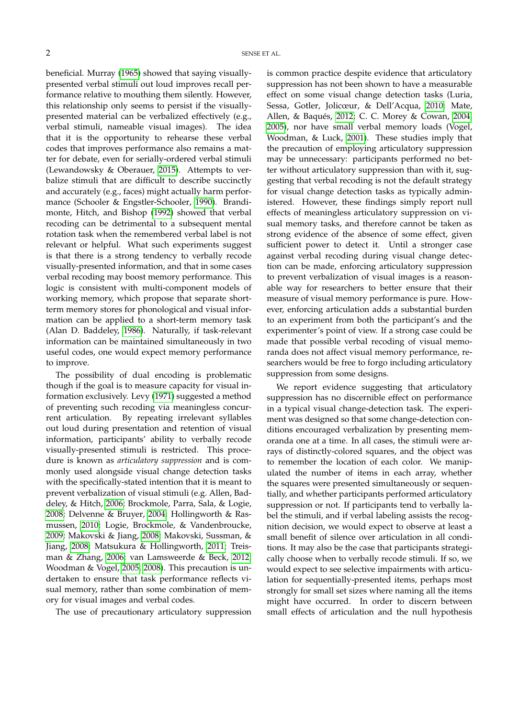beneficial. Murray [\(1965\)](#page-11-1) showed that saying visuallypresented verbal stimuli out loud improves recall performance relative to mouthing them silently. However, this relationship only seems to persist if the visuallypresented material can be verbalized effectively (e.g., verbal stimuli, nameable visual images). The idea that it is the opportunity to rehearse these verbal codes that improves performance also remains a matter for debate, even for serially-ordered verbal stimuli (Lewandowsky & Oberauer, [2015\)](#page-10-0). Attempts to verbalize stimuli that are difficult to describe succinctly and accurately (e.g., faces) might actually harm performance (Schooler & Engstler-Schooler, [1990\)](#page-11-2). Brandimonte, Hitch, and Bishop [\(1992\)](#page-10-1) showed that verbal recoding can be detrimental to a subsequent mental rotation task when the remembered verbal label is not relevant or helpful. What such experiments suggest is that there is a strong tendency to verbally recode visually-presented information, and that in some cases verbal recoding may boost memory performance. This logic is consistent with multi-component models of working memory, which propose that separate shortterm memory stores for phonological and visual information can be applied to a short-term memory task (Alan D. Baddeley, [1986\)](#page-10-2). Naturally, if task-relevant information can be maintained simultaneously in two useful codes, one would expect memory performance to improve.

The possibility of dual encoding is problematic though if the goal is to measure capacity for visual information exclusively. Levy [\(1971\)](#page-10-3) suggested a method of preventing such recoding via meaningless concurrent articulation. By repeating irrelevant syllables out loud during presentation and retention of visual information, participants' ability to verbally recode visually-presented stimuli is restricted. This procedure is known as *articulatory suppression* and is commonly used alongside visual change detection tasks with the specifically-stated intention that it is meant to prevent verbalization of visual stimuli (e.g. Allen, Baddeley, & Hitch, [2006;](#page-10-4) Brockmole, Parra, Sala, & Logie, [2008;](#page-10-5) Delvenne & Bruyer, [2004;](#page-10-6) Hollingworth & Rasmussen, [2010;](#page-10-7) Logie, Brockmole, & Vandenbroucke, [2009;](#page-10-8) Makovski & Jiang, [2008;](#page-10-9) Makovski, Sussman, & Jiang, [2008;](#page-11-3) Matsukura & Hollingworth, [2011;](#page-11-4) Treisman & Zhang, [2006;](#page-11-5) van Lamsweerde & Beck, [2012;](#page-11-6) Woodman & Vogel, [2005,](#page-11-7) [2008\)](#page-11-8). This precaution is undertaken to ensure that task performance reflects visual memory, rather than some combination of memory for visual images and verbal codes.

The use of precautionary articulatory suppression

is common practice despite evidence that articulatory suppression has not been shown to have a measurable effect on some visual change detection tasks (Luria, Sessa, Gotler, Jolicœur, & Dell'Acqua, [2010;](#page-10-10) Mate, Allen, & Baqués, [2012;](#page-11-9) C. C. Morey & Cowan, [2004,](#page-11-10) [2005\)](#page-11-11), nor have small verbal memory loads (Vogel, Woodman, & Luck, [2001\)](#page-11-12). These studies imply that the precaution of employing articulatory suppression may be unnecessary: participants performed no better without articulatory suppression than with it, suggesting that verbal recoding is not the default strategy for visual change detection tasks as typically administered. However, these findings simply report null effects of meaningless articulatory suppression on visual memory tasks, and therefore cannot be taken as strong evidence of the absence of some effect, given sufficient power to detect it. Until a stronger case against verbal recoding during visual change detection can be made, enforcing articulatory suppression to prevent verbalization of visual images is a reasonable way for researchers to better ensure that their measure of visual memory performance is pure. However, enforcing articulation adds a substantial burden to an experiment from both the participant's and the experimenter's point of view. If a strong case could be made that possible verbal recoding of visual memoranda does not affect visual memory performance, researchers would be free to forgo including articulatory suppression from some designs.

We report evidence suggesting that articulatory suppression has no discernible effect on performance in a typical visual change-detection task. The experiment was designed so that some change-detection conditions encouraged verbalization by presenting memoranda one at a time. In all cases, the stimuli were arrays of distinctly-colored squares, and the object was to remember the location of each color. We manipulated the number of items in each array, whether the squares were presented simultaneously or sequentially, and whether participants performed articulatory suppression or not. If participants tend to verbally label the stimuli, and if verbal labeling assists the recognition decision, we would expect to observe at least a small benefit of silence over articulation in all conditions. It may also be the case that participants strategically choose when to verbally recode stimuli. If so, we would expect to see selective impairments with articulation for sequentially-presented items, perhaps most strongly for small set sizes where naming all the items might have occurred. In order to discern between small effects of articulation and the null hypothesis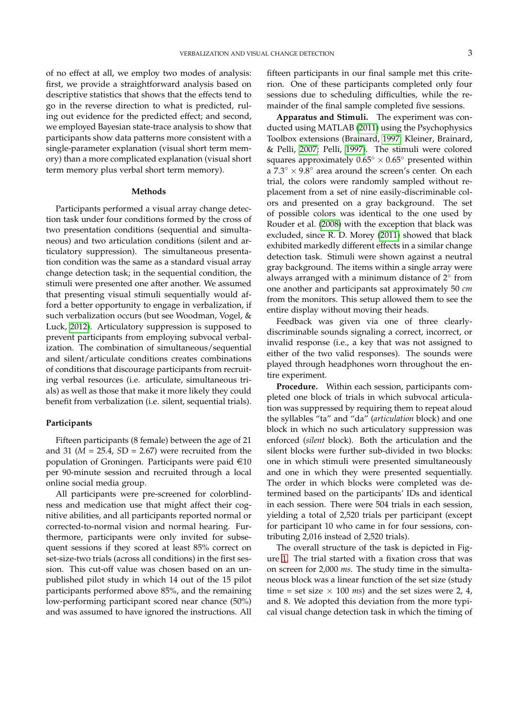of no effect at all, we employ two modes of analysis: first, we provide a straightforward analysis based on descriptive statistics that shows that the effects tend to go in the reverse direction to what is predicted, ruling out evidence for the predicted effect; and second, we employed Bayesian state-trace analysis to show that participants show data patterns more consistent with a single-parameter explanation (visual short term memory) than a more complicated explanation (visual short term memory plus verbal short term memory).

#### **Methods**

Participants performed a visual array change detection task under four conditions formed by the cross of two presentation conditions (sequential and simultaneous) and two articulation conditions (silent and articulatory suppression). The simultaneous presentation condition was the same as a standard visual array change detection task; in the sequential condition, the stimuli were presented one after another. We assumed that presenting visual stimuli sequentially would afford a better opportunity to engage in verbalization, if such verbalization occurs (but see Woodman, Vogel, & Luck, [2012\)](#page-11-13). Articulatory suppression is supposed to prevent participants from employing subvocal verbalization. The combination of simultaneous/sequential and silent/articulate conditions creates combinations of conditions that discourage participants from recruiting verbal resources (i.e. articulate, simultaneous trials) as well as those that make it more likely they could benefit from verbalization (i.e. silent, sequential trials).

### **Participants**

Fifteen participants (8 female) between the age of 21 and 31 (*M* = 25.4, *S*D = 2.67) were recruited from the population of Groningen. Participants were paid  $\in$ 10 per 90-minute session and recruited through a local online social media group.

All participants were pre-screened for colorblindness and medication use that might affect their cognitive abilities, and all participants reported normal or corrected-to-normal vision and normal hearing. Furthermore, participants were only invited for subsequent sessions if they scored at least 85% correct on set-size-two trials (across all conditions) in the first session. This cut-off value was chosen based on an unpublished pilot study in which 14 out of the 15 pilot participants performed above 85%, and the remaining low-performing participant scored near chance (50%) and was assumed to have ignored the instructions. All

fifteen participants in our final sample met this criterion. One of these participants completed only four sessions due to scheduling difficulties, while the remainder of the final sample completed five sessions.

**Apparatus and Stimuli.** The experiment was conducted using MATLAB [\(2011\)](#page-11-14) using the Psychophysics Toolbox extensions (Brainard, [1997;](#page-10-11) Kleiner, Brainard, & Pelli, [2007;](#page-10-12) Pelli, [1997\)](#page-11-15). The stimuli were colored squares approximately  $0.65^{\circ} \times 0.65^{\circ}$  presented within a  $7.3° \times 9.8°$  area around the screen's center. On each trial, the colors were randomly sampled without replacement from a set of nine easily-discriminable colors and presented on a gray background. The set of possible colors was identical to the one used by Rouder et al. [\(2008\)](#page-11-16) with the exception that black was excluded, since R. D. Morey [\(2011\)](#page-11-17) showed that black exhibited markedly different effects in a similar change detection task. Stimuli were shown against a neutral gray background. The items within a single array were always arranged with a minimum distance of  $2^{\circ}$  from one another and participants sat approximately 50 *cm* from the monitors. This setup allowed them to see the entire display without moving their heads.

Feedback was given via one of three clearlydiscriminable sounds signaling a correct, incorrect, or invalid response (i.e., a key that was not assigned to either of the two valid responses). The sounds were played through headphones worn throughout the entire experiment.

**Procedure.** Within each session, participants completed one block of trials in which subvocal articulation was suppressed by requiring them to repeat aloud the syllables "ta" and "da" (*articulation* block) and one block in which no such articulatory suppression was enforced (*silent* block). Both the articulation and the silent blocks were further sub-divided in two blocks: one in which stimuli were presented simultaneously and one in which they were presented sequentially. The order in which blocks were completed was determined based on the participants' IDs and identical in each session. There were 504 trials in each session, yielding a total of 2,520 trials per participant (except for participant 10 who came in for four sessions, contributing 2,016 instead of 2,520 trials).

The overall structure of the task is depicted in Figure [1.](#page-4-0) The trial started with a fixation cross that was on screen for 2,000 *ms*. The study time in the simultaneous block was a linear function of the set size (study time = set size  $\times$  100 *ms*) and the set sizes were 2, 4, and 8. We adopted this deviation from the more typical visual change detection task in which the timing of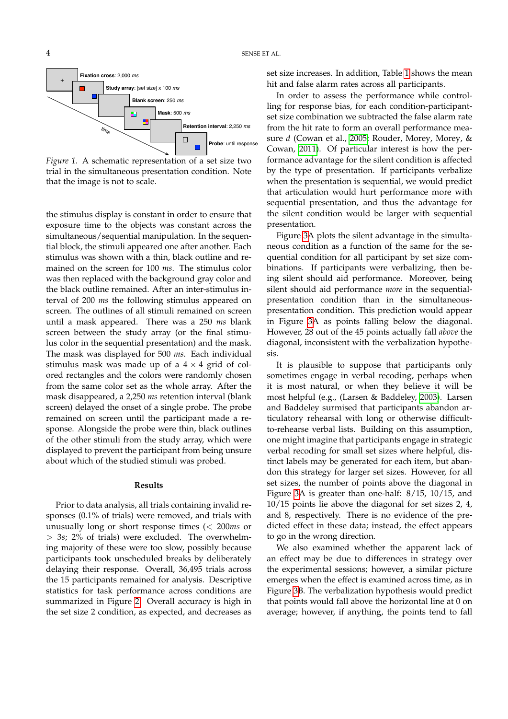<span id="page-4-0"></span>

*Figure 1*. A schematic representation of a set size two trial in the simultaneous presentation condition. Note that the image is not to scale.

the stimulus display is constant in order to ensure that exposure time to the objects was constant across the simultaneous/sequential manipulation. In the sequential block, the stimuli appeared one after another. Each stimulus was shown with a thin, black outline and remained on the screen for 100 *ms*. The stimulus color was then replaced with the background gray color and the black outline remained. After an inter-stimulus interval of 200 *ms* the following stimulus appeared on screen. The outlines of all stimuli remained on screen until a mask appeared. There was a 250 *ms* blank screen between the study array (or the final stimulus color in the sequential presentation) and the mask. The mask was displayed for 500 *ms*. Each individual stimulus mask was made up of a  $4 \times 4$  grid of colored rectangles and the colors were randomly chosen from the same color set as the whole array. After the mask disappeared, a 2,250 *ms* retention interval (blank screen) delayed the onset of a single probe. The probe remained on screen until the participant made a response. Alongside the probe were thin, black outlines of the other stimuli from the study array, which were displayed to prevent the participant from being unsure about which of the studied stimuli was probed.

#### **Results**

Prior to data analysis, all trials containing invalid responses (0.1% of trials) were removed, and trials with unusually long or short response times (< 200*ms* or > 3*s*; 2% of trials) were excluded. The overwhelming majority of these were too slow, possibly because participants took unscheduled breaks by deliberately delaying their response. Overall, 36,495 trials across the 15 participants remained for analysis. Descriptive statistics for task performance across conditions are summarized in Figure [2.](#page-5-0) Overall accuracy is high in the set size 2 condition, as expected, and decreases as set size increases. In addition, Table [1](#page-5-1) shows the mean hit and false alarm rates across all participants.

In order to assess the performance while controlling for response bias, for each condition-participantset size combination we subtracted the false alarm rate from the hit rate to form an overall performance measure *d* (Cowan et al., [2005;](#page-10-13) Rouder, Morey, Morey, & Cowan, [2011\)](#page-11-18). Of particular interest is how the performance advantage for the silent condition is affected by the type of presentation. If participants verbalize when the presentation is sequential, we would predict that articulation would hurt performance more with sequential presentation, and thus the advantage for the silent condition would be larger with sequential presentation.

Figure [3A](#page-6-0) plots the silent advantage in the simultaneous condition as a function of the same for the sequential condition for all participant by set size combinations. If participants were verbalizing, then being silent should aid performance. Moreover, being silent should aid performance *more* in the sequentialpresentation condition than in the simultaneouspresentation condition. This prediction would appear in Figure [3A](#page-6-0) as points falling below the diagonal. However, 28 out of the 45 points actually fall *above* the diagonal, inconsistent with the verbalization hypothesis.

It is plausible to suppose that participants only sometimes engage in verbal recoding, perhaps when it is most natural, or when they believe it will be most helpful (e.g., (Larsen & Baddeley, [2003\)](#page-10-14). Larsen and Baddeley surmised that participants abandon articulatory rehearsal with long or otherwise difficultto-rehearse verbal lists. Building on this assumption, one might imagine that participants engage in strategic verbal recoding for small set sizes where helpful, distinct labels may be generated for each item, but abandon this strategy for larger set sizes. However, for all set sizes, the number of points above the diagonal in Figure [3A](#page-6-0) is greater than one-half: 8/15, 10/15, and 10/15 points lie above the diagonal for set sizes 2, 4, and 8, respectively. There is no evidence of the predicted effect in these data; instead, the effect appears to go in the wrong direction.

We also examined whether the apparent lack of an effect may be due to differences in strategy over the experimental sessions; however, a similar picture emerges when the effect is examined across time, as in Figure [3B](#page-6-0). The verbalization hypothesis would predict that points would fall above the horizontal line at 0 on average; however, if anything, the points tend to fall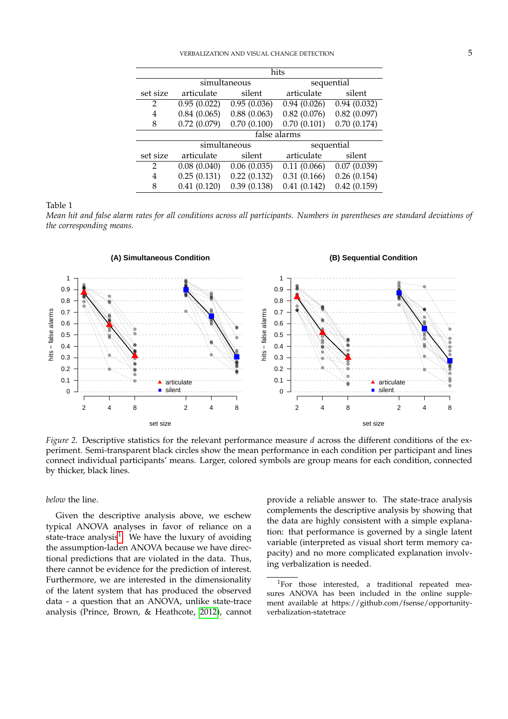<span id="page-5-1"></span>

|                | hits         |                           |             |             |
|----------------|--------------|---------------------------|-------------|-------------|
|                | simultaneous |                           | sequential  |             |
| set size       | articulate   | silent                    | articulate  | silent      |
| $\overline{2}$ | 0.95(0.022)  | 0.95(0.036)               | 0.94(0.026) | 0.94(0.032) |
| 4              | 0.84(0.065)  | 0.88(0.063)               | 0.82(0.076) | 0.82(0.097) |
| 8              | 0.72(0.079)  | 0.70(0.100)               | 0.70(0.101) | 0.70(0.174) |
|                | false alarms |                           |             |             |
|                | simultaneous |                           | sequential  |             |
| set size       | articulate   | silent                    | articulate  | silent      |
| $\overline{2}$ | 0.08(0.040)  | $\overline{0.06}$ (0.035) | 0.11(0.066) | 0.07(0.039) |
| 4              | 0.25(0.131)  | 0.22(0.132)               | 0.31(0.166) | 0.26(0.154) |
| 8              | 0.41(0.120)  | 0.39(0.138)               | 0.41(0.142) | 0.42(0.159) |

Table 1

*Mean hit and false alarm rates for all conditions across all participants. Numbers in parentheses are standard deviations of the corresponding means.*

<span id="page-5-0"></span>

*Figure 2*. Descriptive statistics for the relevant performance measure *d* across the different conditions of the experiment. Semi-transparent black circles show the mean performance in each condition per participant and lines connect individual participants' means. Larger, colored symbols are group means for each condition, connected by thicker, black lines.

*below* the line.

Given the descriptive analysis above, we eschew typical ANOVA analyses in favor of reliance on a state-trace analysis<sup>[1](#page-5-2)</sup>. We have the luxury of avoiding the assumption-laden ANOVA because we have directional predictions that are violated in the data. Thus, there cannot be evidence for the prediction of interest. Furthermore, we are interested in the dimensionality of the latent system that has produced the observed data - a question that an ANOVA, unlike state-trace analysis (Prince, Brown, & Heathcote, [2012\)](#page-11-19), cannot provide a reliable answer to. The state-trace analysis complements the descriptive analysis by showing that the data are highly consistent with a simple explanation: that performance is governed by a single latent variable (interpreted as visual short term memory capacity) and no more complicated explanation involving verbalization is needed.

<span id="page-5-2"></span><sup>&</sup>lt;sup>1</sup>For those interested, a traditional repeated measures ANOVA has been included in the online supplement available at https://github.com/fsense/opportunityverbalization-statetrace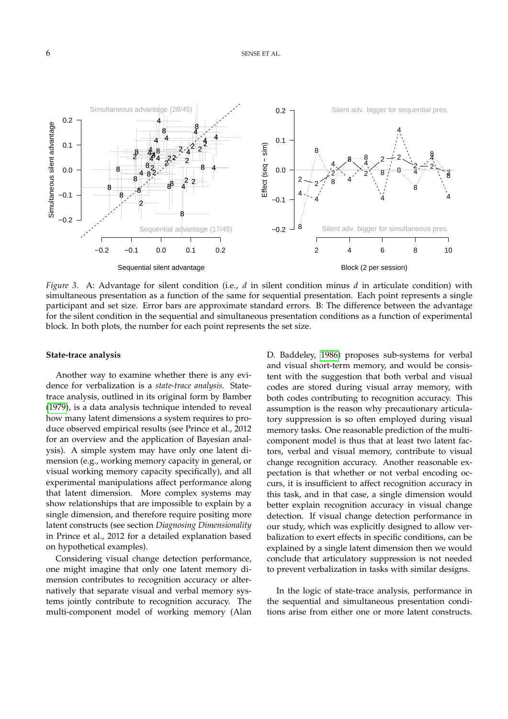<span id="page-6-0"></span>

*Figure 3*. A: Advantage for silent condition (i.e., *d* in silent condition minus *d* in articulate condition) with simultaneous presentation as a function of the same for sequential presentation. Each point represents a single participant and set size. Error bars are approximate standard errors. B: The difference between the advantage for the silent condition in the sequential and simultaneous presentation conditions as a function of experimental block. In both plots, the number for each point represents the set size.

#### **State-trace analysis**

Another way to examine whether there is any evidence for verbalization is a *state-trace analysis*. Statetrace analysis, outlined in its original form by Bamber [\(1979\)](#page-10-15), is a data analysis technique intended to reveal how many latent dimensions a system requires to produce observed empirical results (see Prince et al., 2012 for an overview and the application of Bayesian analysis). A simple system may have only one latent dimension (e.g., working memory capacity in general, or visual working memory capacity specifically), and all experimental manipulations affect performance along that latent dimension. More complex systems may show relationships that are impossible to explain by a single dimension, and therefore require positing more latent constructs (see section *Diagnosing Dimensionality* in Prince et al., 2012 for a detailed explanation based on hypothetical examples).

Considering visual change detection performance, one might imagine that only one latent memory dimension contributes to recognition accuracy or alternatively that separate visual and verbal memory systems jointly contribute to recognition accuracy. The multi-component model of working memory (Alan D. Baddeley, [1986\)](#page-10-2) proposes sub-systems for verbal and visual short-term memory, and would be consistent with the suggestion that both verbal and visual codes are stored during visual array memory, with both codes contributing to recognition accuracy. This assumption is the reason why precautionary articulatory suppression is so often employed during visual memory tasks. One reasonable prediction of the multicomponent model is thus that at least two latent factors, verbal and visual memory, contribute to visual change recognition accuracy. Another reasonable expectation is that whether or not verbal encoding occurs, it is insufficient to affect recognition accuracy in this task, and in that case, a single dimension would better explain recognition accuracy in visual change detection. If visual change detection performance in our study, which was explicitly designed to allow verbalization to exert effects in specific conditions, can be explained by a single latent dimension then we would conclude that articulatory suppression is not needed to prevent verbalization in tasks with similar designs.

In the logic of state-trace analysis, performance in the sequential and simultaneous presentation conditions arise from either one or more latent constructs.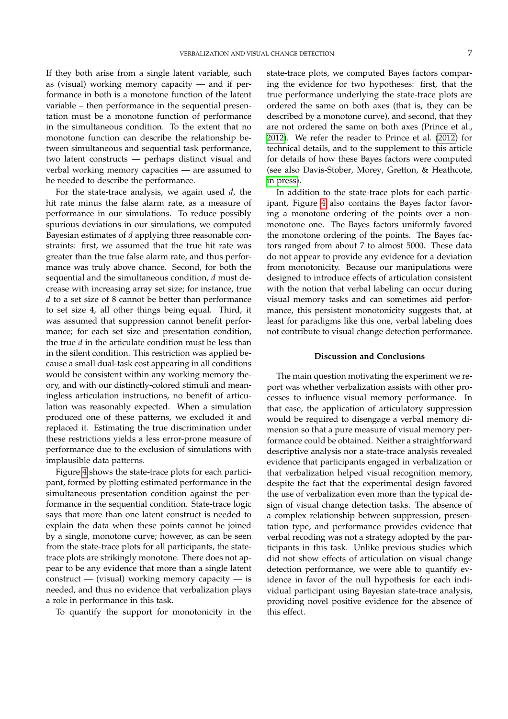If they both arise from a single latent variable, such as (visual) working memory capacity — and if performance in both is a monotone function of the latent variable – then performance in the sequential presentation must be a monotone function of performance in the simultaneous condition. To the extent that no monotone function can describe the relationship between simultaneous and sequential task performance, two latent constructs — perhaps distinct visual and verbal working memory capacities — are assumed to be needed to describe the performance.

For the state-trace analysis, we again used *d*, the hit rate minus the false alarm rate, as a measure of performance in our simulations. To reduce possibly spurious deviations in our simulations, we computed Bayesian estimates of *d* applying three reasonable constraints: first, we assumed that the true hit rate was greater than the true false alarm rate, and thus performance was truly above chance. Second, for both the sequential and the simultaneous condition, *d* must decrease with increasing array set size; for instance, true *d* to a set size of 8 cannot be better than performance to set size 4, all other things being equal. Third, it was assumed that suppression cannot benefit performance; for each set size and presentation condition, the true *d* in the articulate condition must be less than in the silent condition. This restriction was applied because a small dual-task cost appearing in all conditions would be consistent within any working memory theory, and with our distinctly-colored stimuli and meaningless articulation instructions, no benefit of articulation was reasonably expected. When a simulation produced one of these patterns, we excluded it and replaced it. Estimating the true discrimination under these restrictions yields a less error-prone measure of performance due to the exclusion of simulations with implausible data patterns.

Figure [4](#page-8-0) shows the state-trace plots for each participant, formed by plotting estimated performance in the simultaneous presentation condition against the performance in the sequential condition. State-trace logic says that more than one latent construct is needed to explain the data when these points cannot be joined by a single, monotone curve; however, as can be seen from the state-trace plots for all participants, the statetrace plots are strikingly monotone. There does not appear to be any evidence that more than a single latent construct — (visual) working memory capacity — is needed, and thus no evidence that verbalization plays a role in performance in this task.

To quantify the support for monotonicity in the

state-trace plots, we computed Bayes factors comparing the evidence for two hypotheses: first, that the true performance underlying the state-trace plots are ordered the same on both axes (that is, they can be described by a monotone curve), and second, that they are not ordered the same on both axes (Prince et al., [2012\)](#page-11-19). We refer the reader to Prince et al. [\(2012\)](#page-11-19) for technical details, and to the supplement to this article for details of how these Bayes factors were computed (see also Davis-Stober, Morey, Gretton, & Heathcote, [in press\)](#page-10-16).

In addition to the state-trace plots for each participant, Figure [4](#page-8-0) also contains the Bayes factor favoring a monotone ordering of the points over a nonmonotone one. The Bayes factors uniformly favored the monotone ordering of the points. The Bayes factors ranged from about 7 to almost 5000. These data do not appear to provide any evidence for a deviation from monotonicity. Because our manipulations were designed to introduce effects of articulation consistent with the notion that verbal labeling can occur during visual memory tasks and can sometimes aid performance, this persistent monotonicity suggests that, at least for paradigms like this one, verbal labeling does not contribute to visual change detection performance.

#### **Discussion and Conclusions**

The main question motivating the experiment we report was whether verbalization assists with other processes to influence visual memory performance. In that case, the application of articulatory suppression would be required to disengage a verbal memory dimension so that a pure measure of visual memory performance could be obtained. Neither a straightforward descriptive analysis nor a state-trace analysis revealed evidence that participants engaged in verbalization or that verbalization helped visual recognition memory, despite the fact that the experimental design favored the use of verbalization even more than the typical design of visual change detection tasks. The absence of a complex relationship between suppression, presentation type, and performance provides evidence that verbal recoding was not a strategy adopted by the participants in this task. Unlike previous studies which did not show effects of articulation on visual change detection performance, we were able to quantify evidence in favor of the null hypothesis for each individual participant using Bayesian state-trace analysis, providing novel positive evidence for the absence of this effect.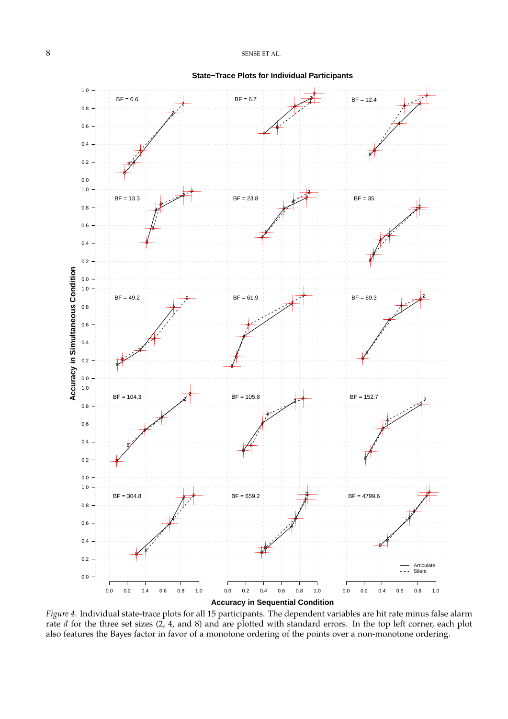<span id="page-8-0"></span>

*Figure 4*. Individual state-trace plots for all 15 participants. The dependent variables are hit rate minus false alarm rate *d* for the three set sizes (2, 4, and 8) and are plotted with standard errors. In the top left corner, each plot also features the Bayes factor in favor of a monotone ordering of the points over a non-monotone ordering.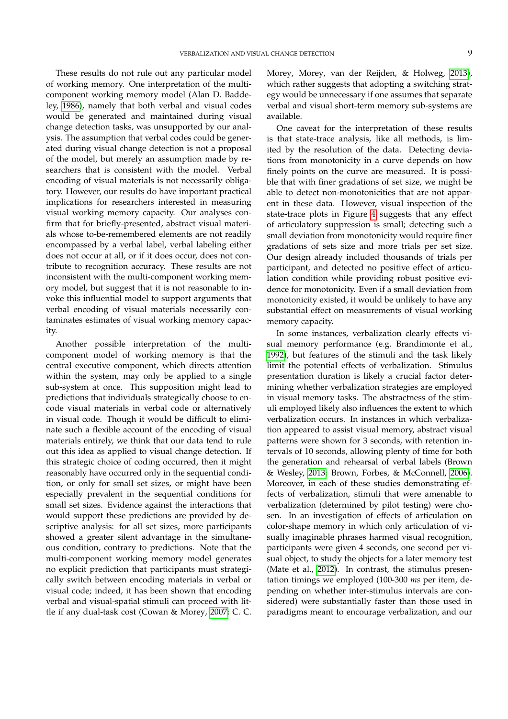These results do not rule out any particular model of working memory. One interpretation of the multicomponent working memory model (Alan D. Baddeley, [1986\)](#page-10-2), namely that both verbal and visual codes would be generated and maintained during visual change detection tasks, was unsupported by our analysis. The assumption that verbal codes could be generated during visual change detection is not a proposal of the model, but merely an assumption made by researchers that is consistent with the model. Verbal encoding of visual materials is not necessarily obligatory. However, our results do have important practical implications for researchers interested in measuring visual working memory capacity. Our analyses confirm that for briefly-presented, abstract visual materials whose to-be-remembered elements are not readily encompassed by a verbal label, verbal labeling either does not occur at all, or if it does occur, does not contribute to recognition accuracy. These results are not inconsistent with the multi-component working memory model, but suggest that it is not reasonable to invoke this influential model to support arguments that verbal encoding of visual materials necessarily contaminates estimates of visual working memory capacity.

Another possible interpretation of the multicomponent model of working memory is that the central executive component, which directs attention within the system, may only be applied to a single sub-system at once. This supposition might lead to predictions that individuals strategically choose to encode visual materials in verbal code or alternatively in visual code. Though it would be difficult to eliminate such a flexible account of the encoding of visual materials entirely, we think that our data tend to rule out this idea as applied to visual change detection. If this strategic choice of coding occurred, then it might reasonably have occurred only in the sequential condition, or only for small set sizes, or might have been especially prevalent in the sequential conditions for small set sizes. Evidence against the interactions that would support these predictions are provided by descriptive analysis: for all set sizes, more participants showed a greater silent advantage in the simultaneous condition, contrary to predictions. Note that the multi-component working memory model generates no explicit prediction that participants must strategically switch between encoding materials in verbal or visual code; indeed, it has been shown that encoding verbal and visual-spatial stimuli can proceed with little if any dual-task cost (Cowan & Morey, [2007;](#page-10-17) C. C.

Morey, Morey, van der Reijden, & Holweg, [2013\)](#page-11-20), which rather suggests that adopting a switching strategy would be unnecessary if one assumes that separate verbal and visual short-term memory sub-systems are available.

One caveat for the interpretation of these results is that state-trace analysis, like all methods, is limited by the resolution of the data. Detecting deviations from monotonicity in a curve depends on how finely points on the curve are measured. It is possible that with finer gradations of set size, we might be able to detect non-monotonicities that are not apparent in these data. However, visual inspection of the state-trace plots in Figure [4](#page-8-0) suggests that any effect of articulatory suppression is small; detecting such a small deviation from monotonicity would require finer gradations of sets size and more trials per set size. Our design already included thousands of trials per participant, and detected no positive effect of articulation condition while providing robust positive evidence for monotonicity. Even if a small deviation from monotonicity existed, it would be unlikely to have any substantial effect on measurements of visual working memory capacity.

In some instances, verbalization clearly effects visual memory performance (e.g. Brandimonte et al., [1992\)](#page-10-1), but features of the stimuli and the task likely limit the potential effects of verbalization. Stimulus presentation duration is likely a crucial factor determining whether verbalization strategies are employed in visual memory tasks. The abstractness of the stimuli employed likely also influences the extent to which verbalization occurs. In instances in which verbalization appeared to assist visual memory, abstract visual patterns were shown for 3 seconds, with retention intervals of 10 seconds, allowing plenty of time for both the generation and rehearsal of verbal labels (Brown & Wesley, [2013;](#page-10-18) Brown, Forbes, & McConnell, [2006\)](#page-10-19). Moreover, in each of these studies demonstrating effects of verbalization, stimuli that were amenable to verbalization (determined by pilot testing) were chosen. In an investigation of effects of articulation on color-shape memory in which only articulation of visually imaginable phrases harmed visual recognition, participants were given 4 seconds, one second per visual object, to study the objects for a later memory test (Mate et al., [2012\)](#page-11-9). In contrast, the stimulus presentation timings we employed (100-300 *ms* per item, depending on whether inter-stimulus intervals are considered) were substantially faster than those used in paradigms meant to encourage verbalization, and our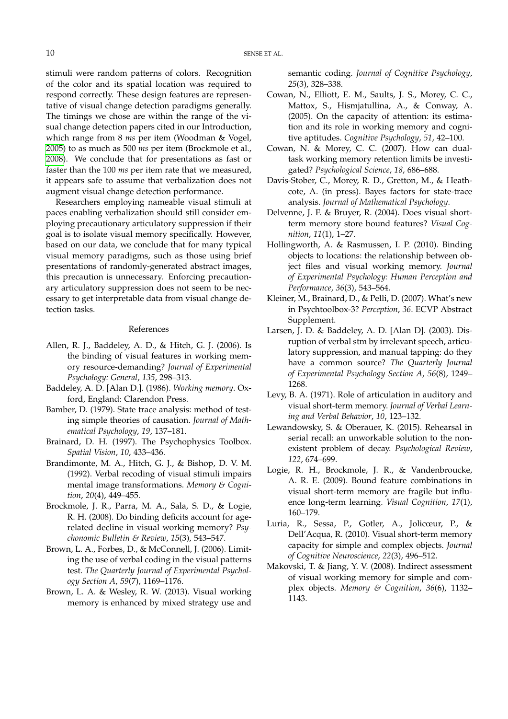stimuli were random patterns of colors. Recognition of the color and its spatial location was required to respond correctly. These design features are representative of visual change detection paradigms generally. The timings we chose are within the range of the visual change detection papers cited in our Introduction, which range from 8 *ms* per item (Woodman & Vogel, [2005\)](#page-11-7) to as much as 500 *ms* per item (Brockmole et al., [2008\)](#page-10-5). We conclude that for presentations as fast or faster than the 100 *ms* per item rate that we measured, it appears safe to assume that verbalization does not augment visual change detection performance.

Researchers employing nameable visual stimuli at paces enabling verbalization should still consider employing precautionary articulatory suppression if their goal is to isolate visual memory specifically. However, based on our data, we conclude that for many typical visual memory paradigms, such as those using brief presentations of randomly-generated abstract images, this precaution is unnecessary. Enforcing precautionary articulatory suppression does not seem to be necessary to get interpretable data from visual change detection tasks.

#### References

- <span id="page-10-4"></span>Allen, R. J., Baddeley, A. D., & Hitch, G. J. (2006). Is the binding of visual features in working memory resource-demanding? *Journal of Experimental Psychology: General*, *135*, 298–313.
- <span id="page-10-2"></span>Baddeley, A. D. [Alan D.]. (1986). *Working memory*. Oxford, England: Clarendon Press.
- <span id="page-10-15"></span>Bamber, D. (1979). State trace analysis: method of testing simple theories of causation. *Journal of Mathematical Psychology*, *19*, 137–181.
- <span id="page-10-11"></span>Brainard, D. H. (1997). The Psychophysics Toolbox. *Spatial Vision*, *10*, 433–436.
- <span id="page-10-1"></span>Brandimonte, M. A., Hitch, G. J., & Bishop, D. V. M. (1992). Verbal recoding of visual stimuli impairs mental image transformations. *Memory & Cognition*, *20*(4), 449–455.
- <span id="page-10-5"></span>Brockmole, J. R., Parra, M. A., Sala, S. D., & Logie, R. H. (2008). Do binding deficits account for agerelated decline in visual working memory? *Psychonomic Bulletin & Review*, *15*(3), 543–547.
- <span id="page-10-19"></span>Brown, L. A., Forbes, D., & McConnell, J. (2006). Limiting the use of verbal coding in the visual patterns test. *The Quarterly Journal of Experimental Psychology Section A*, *59*(7), 1169–1176.
- <span id="page-10-18"></span>Brown, L. A. & Wesley, R. W. (2013). Visual working memory is enhanced by mixed strategy use and

semantic coding. *Journal of Cognitive Psychology*, *25*(3), 328–338.

- <span id="page-10-13"></span>Cowan, N., Elliott, E. M., Saults, J. S., Morey, C. C., Mattox, S., Hismjatullina, A., & Conway, A. (2005). On the capacity of attention: its estimation and its role in working memory and cognitive aptitudes. *Cognitive Psychology*, *51*, 42–100.
- <span id="page-10-17"></span>Cowan, N. & Morey, C. C. (2007). How can dualtask working memory retention limits be investigated? *Psychological Science*, *18*, 686–688.
- <span id="page-10-16"></span>Davis-Stober, C., Morey, R. D., Gretton, M., & Heathcote, A. (in press). Bayes factors for state-trace analysis. *Journal of Mathematical Psychology*.
- <span id="page-10-6"></span>Delvenne, J. F. & Bruyer, R. (2004). Does visual shortterm memory store bound features? *Visual Cognition*, *11*(1), 1–27.
- <span id="page-10-7"></span>Hollingworth, A. & Rasmussen, I. P. (2010). Binding objects to locations: the relationship between object files and visual working memory. *Journal of Experimental Psychology: Human Perception and Performance*, *36*(3), 543–564.
- <span id="page-10-12"></span>Kleiner, M., Brainard, D., & Pelli, D. (2007). What's new in Psychtoolbox-3? *Perception*, *36*. ECVP Abstract Supplement.
- <span id="page-10-14"></span>Larsen, J. D. & Baddeley, A. D. [Alan D]. (2003). Disruption of verbal stm by irrelevant speech, articulatory suppression, and manual tapping: do they have a common source? *The Quarterly Journal of Experimental Psychology Section A*, *56*(8), 1249– 1268.
- <span id="page-10-3"></span>Levy, B. A. (1971). Role of articulation in auditory and visual short-term memory. *Journal of Verbal Learning and Verbal Behavior*, *10*, 123–132.
- <span id="page-10-0"></span>Lewandowsky, S. & Oberauer, K. (2015). Rehearsal in serial recall: an unworkable solution to the nonexistent problem of decay. *Psychological Review*, *122*, 674–699.
- <span id="page-10-8"></span>Logie, R. H., Brockmole, J. R., & Vandenbroucke, A. R. E. (2009). Bound feature combinations in visual short-term memory are fragile but influence long-term learning. *Visual Cognition*, *17*(1), 160–179.
- <span id="page-10-10"></span>Luria, R., Sessa, P., Gotler, A., Jolicœur, P., & Dell'Acqua, R. (2010). Visual short-term memory capacity for simple and complex objects. *Journal of Cognitive Neuroscience*, *22*(3), 496–512.
- <span id="page-10-9"></span>Makovski, T. & Jiang, Y. V. (2008). Indirect assessment of visual working memory for simple and complex objects. *Memory & Cognition*, *36*(6), 1132– 1143.